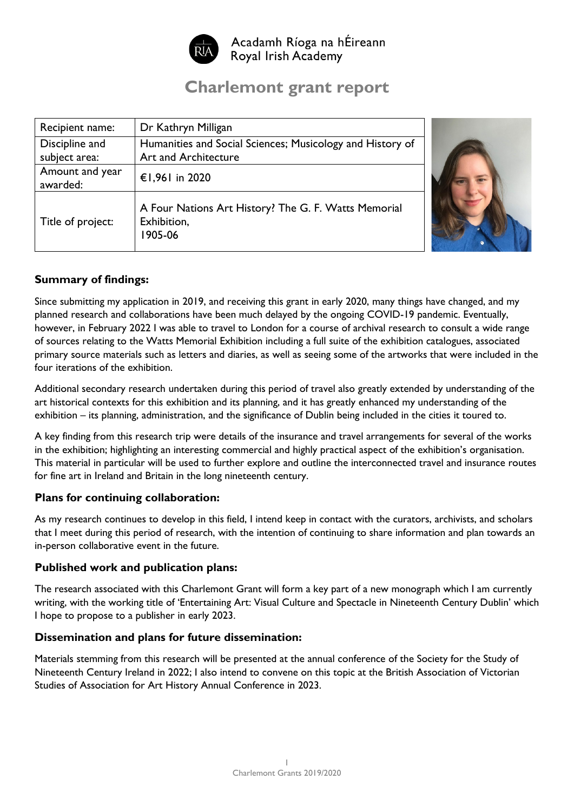

Acadamh Ríoga na hÉireann Royal Irish Academy

# **Charlemont grant report**

| Recipient name:   | Dr Kathryn Milligan                                                            |  |
|-------------------|--------------------------------------------------------------------------------|--|
| Discipline and    | Humanities and Social Sciences; Musicology and History of                      |  |
| subject area:     | Art and Architecture                                                           |  |
| Amount and year   | €1,961 in 2020                                                                 |  |
| awarded:          |                                                                                |  |
| Title of project: | A Four Nations Art History? The G. F. Watts Memorial<br>Exhibition,<br>1905-06 |  |



## **Summary of findings:**

Since submitting my application in 2019, and receiving this grant in early 2020, many things have changed, and my planned research and collaborations have been much delayed by the ongoing COVID-19 pandemic. Eventually, however, in February 2022 I was able to travel to London for a course of archival research to consult a wide range of sources relating to the Watts Memorial Exhibition including a full suite of the exhibition catalogues, associated primary source materials such as letters and diaries, as well as seeing some of the artworks that were included in the four iterations of the exhibition.

Additional secondary research undertaken during this period of travel also greatly extended by understanding of the art historical contexts for this exhibition and its planning, and it has greatly enhanced my understanding of the exhibition – its planning, administration, and the significance of Dublin being included in the cities it toured to.

A key finding from this research trip were details of the insurance and travel arrangements for several of the works in the exhibition; highlighting an interesting commercial and highly practical aspect of the exhibition's organisation. This material in particular will be used to further explore and outline the interconnected travel and insurance routes for fine art in Ireland and Britain in the long nineteenth century.

### **Plans for continuing collaboration:**

As my research continues to develop in this field, I intend keep in contact with the curators, archivists, and scholars that I meet during this period of research, with the intention of continuing to share information and plan towards an in-person collaborative event in the future.

#### **Published work and publication plans:**

The research associated with this Charlemont Grant will form a key part of a new monograph which I am currently writing, with the working title of 'Entertaining Art: Visual Culture and Spectacle in Nineteenth Century Dublin' which I hope to propose to a publisher in early 2023.

#### **Dissemination and plans for future dissemination:**

Materials stemming from this research will be presented at the annual conference of the Society for the Study of Nineteenth Century Ireland in 2022; I also intend to convene on this topic at the British Association of Victorian Studies of Association for Art History Annual Conference in 2023.